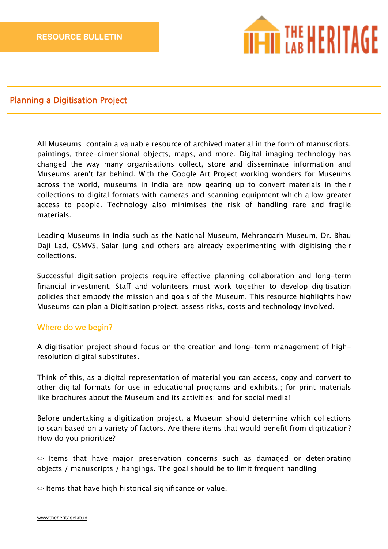

# **Planning a Digitisation Project**

All Museums contain a valuable resource of archived material in the form of manuscripts, paintings, three-dimensional objects, maps, and more. Digital imaging technology has changed the way many organisations collect, store and disseminate information and Museums aren't far behind. With the Google Art Project working wonders for Museums across the world, museums in India are now gearing up to convert materials in their collections to digital formats with cameras and scanning equipment which allow greater access to people. Technology also minimises the risk of handling rare and fragile materials.

Leading Museums in India such as the National Museum, Mehrangarh Museum, Dr. Bhau Daji Lad, CSMVS, Salar Jung and others are already experimenting with digitising their collections.

Successful digitisation projects require efective planning collaboration and long-term financial investment. Staff and volunteers must work together to develop digitisation policies that embody the mission and goals of the Museum. This resource highlights how Museums can plan a Digitisation project, assess risks, costs and technology involved.

# **Where do we begin?**

A digitisation project should focus on the creation and long-term management of highresolution digital substitutes.

Think of this, as a digital representation of material you can access, copy and convert to other digital formats for use in educational programs and exhibits,; for print materials like brochures about the Museum and its activities; and for social media!

Before undertaking a digitization project, a Museum should determine which collections to scan based on a variety of factors. Are there items that would benefit from digitization? How do you prioritize?

 $\implies$  Items that have major preservation concerns such as damaged or deteriorating objects / manuscripts / hangings. The goal should be to limit frequent handling

✏ Items that have high historical significance or value.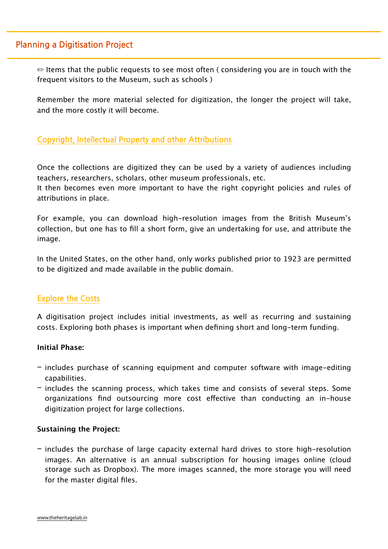# **Planning a Digitisation Project**

 $\bullet$  Items that the public requests to see most often (considering you are in touch with the frequent visitors to the Museum, such as schools )

Remember the more material selected for digitization, the longer the project will take, and the more costly it will become.

# **Copyright, Intellectual Property and other Attributions**

Once the collections are digitized they can be used by a variety of audiences including teachers, researchers, scholars, other museum professionals, etc.

It then becomes even more important to have the right copyright policies and rules of attributions in place.

For example, you can download high-resolution images from the British Museum's collection, but one has to fill a short form, give an undertaking for use, and attribute the image.

In the United States, on the other hand, only works published prior to 1923 are permitted to be digitized and made available in the public domain.

# **Explore the Costs**

A digitisation project includes initial investments, as well as recurring and sustaining costs. Exploring both phases is important when defining short and long-term funding.

### **Initial Phase:**

- includes purchase of scanning equipment and computer software with image-editing capabilities.
- includes the scanning process, which takes time and consists of several steps. Some organizations find outsourcing more cost efective than conducting an in-house digitization project for large collections.

### **Sustaining the Project:**

- includes the purchase of large capacity external hard drives to store high-resolution images. An alternative is an annual subscription for housing images online (cloud storage such as Dropbox). The more images scanned, the more storage you will need for the master digital files.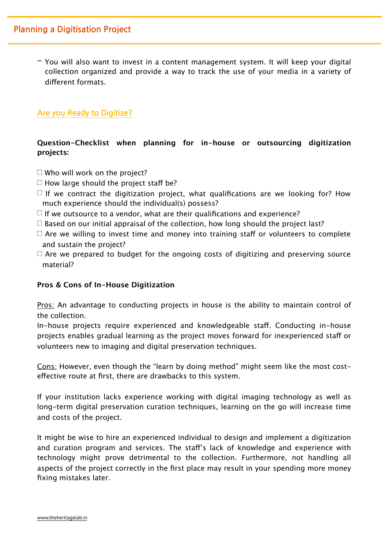- You will also want to invest in a content management system. It will keep your digital collection organized and provide a way to track the use of your media in a variety of diferent formats.

# Are you Ready to Digitize?

**Question-Checklist when planning for in-house or outsourcing digitization projects:**

- $\Box$  Who will work on the project?
- $\Box$  How large should the project staff be?
- $\Box$  If we contract the digitization project, what qualifications are we looking for? How much experience should the individual(s) possess?
- $\Box$  If we outsource to a vendor, what are their qualifications and experience?
- $\Box$  Based on our initial appraisal of the collection, how long should the project last?
- $\Box$  Are we willing to invest time and money into training staff or volunteers to complete and sustain the project?
- $\Box$  Are we prepared to budget for the ongoing costs of digitizing and preserving source material?

# **Pros & Cons of In-House Digitization**

Pros: An advantage to conducting projects in house is the ability to maintain control of the collection.

In-house projects require experienced and knowledgeable staf. Conducting in-house projects enables gradual learning as the project moves forward for inexperienced staf or volunteers new to imaging and digital preservation techniques.

Cons: However, even though the "learn by doing method" might seem like the most costefective route at first, there are drawbacks to this system.

If your institution lacks experience working with digital imaging technology as well as long-term digital preservation curation techniques, learning on the go will increase time and costs of the project.

It might be wise to hire an experienced individual to design and implement a digitization and curation program and services. The staf's lack of knowledge and experience with technology might prove detrimental to the collection. Furthermore, not handling all aspects of the project correctly in the first place may result in your spending more money fixing mistakes later.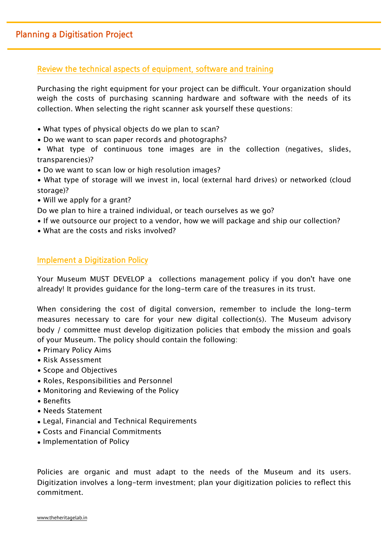# Review the technical aspects of equipment, software and training

Purchasing the right equipment for your project can be difficult. Your organization should weigh the costs of purchasing scanning hardware and software with the needs of its collection. When selecting the right scanner ask yourself these questions:

- What types of physical objects do we plan to scan?
- Do we want to scan paper records and photographs?
- What type of continuous tone images are in the collection (negatives, slides, transparencies)?
- Do we want to scan low or high resolution images?
- What type of storage will we invest in, local (external hard drives) or networked (cloud storage)?
- Will we apply for a grant?
- Do we plan to hire a trained individual, or teach ourselves as we go?
- If we outsource our project to a vendor, how we will package and ship our collection?
- What are the costs and risks involved?

# **Implement a Digitization Policy**

Your Museum MUST DEVELOP a collections management policy if you don't have one already! It provides guidance for the long-term care of the treasures in its trust.

When considering the cost of digital conversion, remember to include the long-term measures necessary to care for your new digital collection(s). The Museum advisory body / committee must develop digitization policies that embody the mission and goals of your Museum. The policy should contain the following:

- Primary Policy Aims
- Risk Assessment
- Scope and Objectives
- Roles, Responsibilities and Personnel
- Monitoring and Reviewing of the Policy
- Benefits
- Needs Statement
- Legal, Financial and Technical Requirements
- Costs and Financial Commitments
- Implementation of Policy

Policies are organic and must adapt to the needs of the Museum and its users. Digitization involves a long-term investment; plan your digitization policies to reflect this commitment.